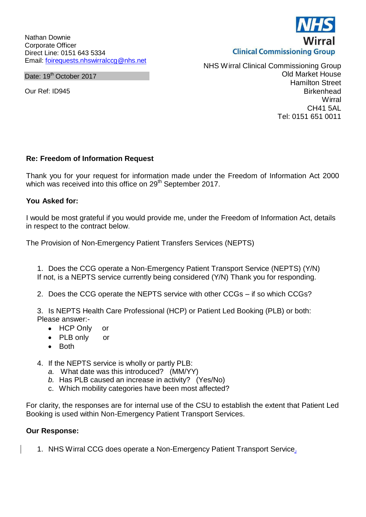Nathan Downie Corporate Officer Direct Line: 0151 643 5334 Email: [foirequests.nhswirralccg@nhs.net](mailto:foirequests.nhswirralccg@nhs.net)

Date: 19<sup>th</sup> October 2017

Our Ref: ID945

NHS Wirral Clinical Commissioning Group Old Market House Hamilton Street **Birkenhead Wirral** CH41 5AL Tel: 0151 651 0011

## **Re: Freedom of Information Request**

Thank you for your request for information made under the Freedom of Information Act 2000 which was received into this office on 29<sup>th</sup> September 2017.

## **You Asked for:**

I would be most grateful if you would provide me, under the Freedom of Information Act, details in respect to the contract below.

The Provision of Non-Emergency Patient Transfers Services (NEPTS)

1. Does the CCG operate a Non-Emergency Patient Transport Service (NEPTS) (Y/N) If not, is a NEPTS service currently being considered (Y/N) Thank you for responding.

2. Does the CCG operate the NEPTS service with other CCGs – if so which CCGs?

3. Is NEPTS Health Care Professional (HCP) or Patient Led Booking (PLB) or both: Please answer:-

- HCP Only or
- PLB only or
- Both
- 4. If the NEPTS service is wholly or partly PLB:
	- *a.* What date was this introduced? (MM/YY)
	- *b.* Has PLB caused an increase in activity? (Yes/No)
	- c. Which mobility categories have been most affected?

For clarity, the responses are for internal use of the CSU to establish the extent that Patient Led Booking is used within Non-Emergency Patient Transport Services.

## **Our Response:**

1. NHS Wirral CCG does operate a Non-Emergency Patient Transport Service.

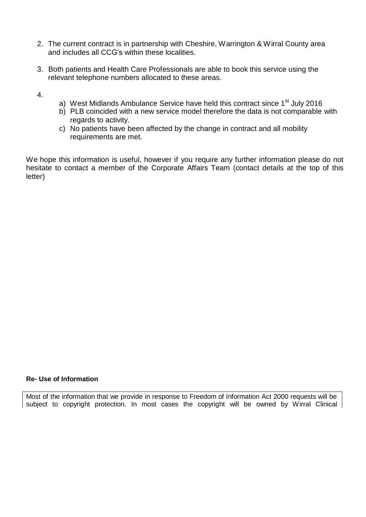- 2. The current contract is in partnership with Cheshire, Warrington & Wirral County area and includes all CCG's within these localities.
- 3. Both patients and Health Care Professionals are able to book this service using the relevant telephone numbers allocated to these areas.
- 4.
- a) West Midlands Ambulance Service have held this contract since 1<sup>st</sup> July 2016
- b) PLB coincided with a new service model therefore the data is not comparable with regards to activity.
- c) No patients have been affected by the change in contract and all mobility requirements are met.

We hope this information is useful, however if you require any further information please do not hesitate to contact a member of the Corporate Affairs Team (contact details at the top of this letter)

## **Re- Use of Information**

Most of the information that we provide in response to Freedom of Information Act 2000 requests will be subject to copyright protection. In most cases the copyright will be owned by Wirral Clinical